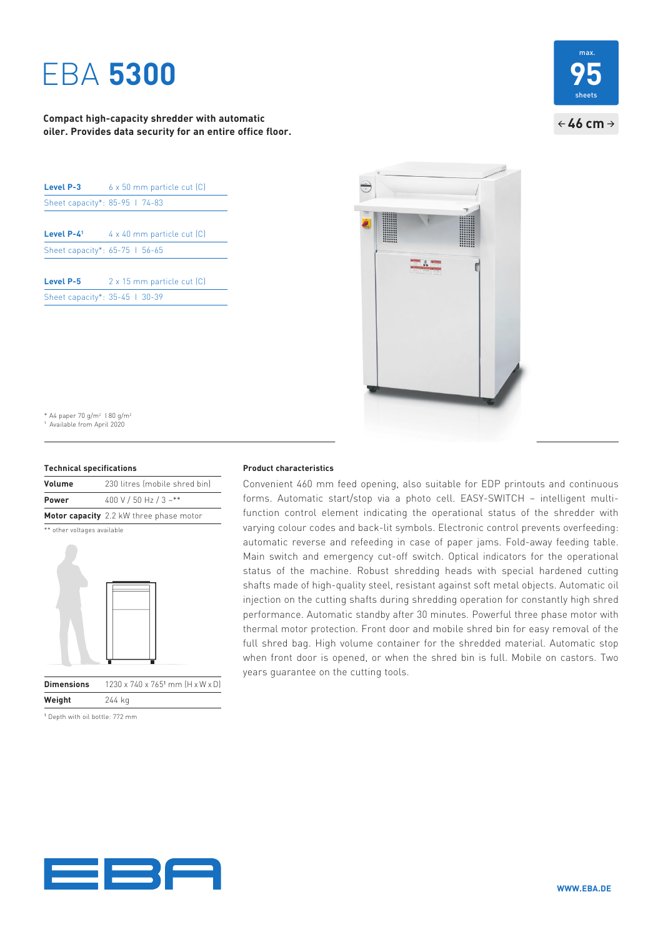# EBA **5300**

**Compact high-capacity shredder with automatic oiler. Provides data security for an entire office floor.**

| <b>Level P-3</b>               | 6 x 50 mm particle cut [C] |
|--------------------------------|----------------------------|
| Sheet capacity*: 85-95 1 74-83 |                            |
| Level $P - L$ <sup>1</sup>     | 4 x 40 mm particle cut [C] |
| Sheet capacity*: 65-75 1 56-65 |                            |
| Level P-5                      | 2 x 15 mm particle cut (C) |
| Sheet capacity*: 35-45   30-39 |                            |





\* A4 paper 70 g/m<sup>2</sup> 1 80 g/m<sup>2</sup> 1 Available from April 2020

#### **Technical specifications**

| Volume       | 230 litres (mobile shred bin)           |
|--------------|-----------------------------------------|
| <b>Power</b> | 400 V / 50 Hz / 3 ~**                   |
|              | Motor capacity 2.2 kW three phase motor |

\*\* other voltages available



**Dimensions** 1230 x 740 x 765<sup>1</sup> mm (H x W x D) **Weight** 244 kg

1 Depth with oil bottle: 772 mm

### **Product characteristics**

Convenient 460 mm feed opening, also suitable for EDP printouts and continuous forms. Automatic start/stop via a photo cell. EASY-SWITCH – intelligent multifunction control element indicating the operational status of the shredder with varying colour codes and back-lit symbols. Electronic control prevents overfeeding: automatic reverse and refeeding in case of paper jams. Fold-away feeding table. Main switch and emergency cut-off switch. Optical indicators for the operational status of the machine. Robust shredding heads with special hardened cutting shafts made of high-quality steel, resistant against soft metal objects. Automatic oil injection on the cutting shafts during shredding operation for constantly high shred performance. Automatic standby after 30 minutes. Powerful three phase motor with thermal motor protection. Front door and mobile shred bin for easy removal of the full shred bag. High volume container for the shredded material. Automatic stop when front door is opened, or when the shred bin is full. Mobile on castors. Two years guarantee on the cutting tools.